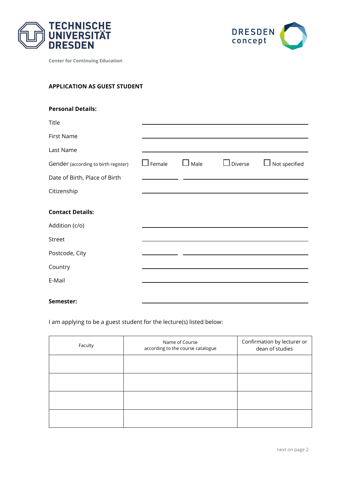



**Center for Continuing Education**

# **APPLICATION AS GUEST STUDENT**

| <b>Personal Details:</b>             |               |      |                |                      |
|--------------------------------------|---------------|------|----------------|----------------------|
| Title                                |               |      |                |                      |
| <b>First Name</b>                    |               |      |                |                      |
| Last Name                            |               |      |                |                      |
| Gender (according to birth register) | $\Box$ Female | Male | $\Box$ Diverse | $\Box$ Not specified |
| Date of Birth, Place of Birth        |               |      |                |                      |
| Citizenship                          |               |      |                |                      |
| <b>Contact Details:</b>              |               |      |                |                      |
| Addition (c/o)                       |               |      |                |                      |
| Street                               |               |      |                |                      |
| Postcode, City                       |               |      |                |                      |
| Country                              |               |      |                |                      |
| E-Mail                               |               |      |                |                      |
| $P = 1$                              |               |      |                |                      |

# **Semester:**

I am applying to be a guest student for the lecture(s) listed below:

| Faculty | Name of Course<br>according to the course catalogue | Confirmation by lecturer or<br>dean of studies |
|---------|-----------------------------------------------------|------------------------------------------------|
|         |                                                     |                                                |
|         |                                                     |                                                |
|         |                                                     |                                                |
|         |                                                     |                                                |